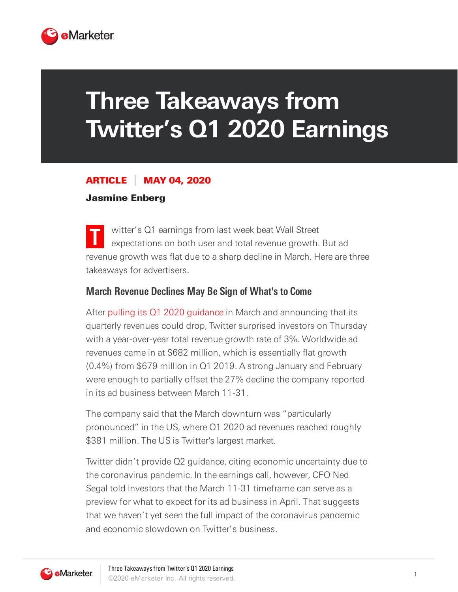

# **Three Takeaways from Twitter's Q1 2020 Earnings**

#### ARTICLE MAY 04, 2020

#### Jasmine Enberg

**T** witter's Q1 earnings from last week beat Wall Street expectations on both user and total revenue growth. But ad revenue growth was flat due to a sharp decline in March. Here are three takeaways for advertisers.

#### **March Revenue Declines May Be Sign of What's to Come**

After pulling its Q1 2020 guidance in March and announcing that its quarterly revenues could drop, Twitter surprised investors on Thursday with a year-over-year total revenue growth rate of 3%. Worldwide ad revenues came in at \$682 million, which is essentially flat growth (0.4%) from \$679 million in Q1 2019. A strong January and February were enough to partially offset the 27% decline the company reported in its ad business between March 11-31.

The company said that the March downturn was "particularly pronounced" in the US, where Q1 2020 ad revenues reached roughly \$381 million. The US is Twitter's largest market.

Twitter didn't provide Q2 guidance, citing economic uncertainty due to the coronavirus pandemic. In the earnings call, however, CFO Ned Segal told investors that the March 11-31 timeframe can serve as a preview for what to expect for its ad business in April. That suggests that we haven't yet seen the full impact of the coronavirus pandemic and economic slowdown on Twitter's business.

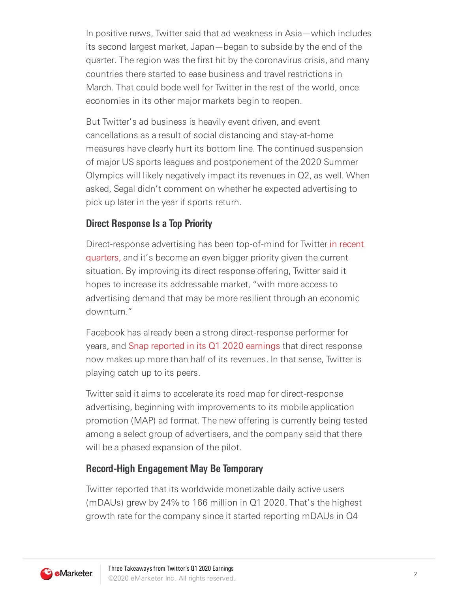In positive news, Twitter said that ad weakness in Asia—which includes its second largest market, Japan—began to subside by the end of the quarter. The region was the first hit by the coronavirus crisis, and many countries there started to ease business and travel restrictions in March. That could bode well for Twitter in the rest of the world, once economies in its other major markets begin to reopen.

But Twitter's ad business is heavily event driven, and event cancellations as a result of social distancing and stay-at-home measures have clearly hurt its bottom line. The continued suspension of major US sports leagues and postponement of the 2020 Summer Olympics will likely negatively impact its revenues in Q2, as well. When asked, Segal didn't comment on whether he expected advertising to pick up later in the year if sports return.

## **Direct Response Is a Top Priority**

Direct-response advertising has been top-of-mind for Twitter in recent quarters, and it's become an even bigger priority given the current situation. By improving its direct response offering, Twitter said it hopes to increase its addressable market, "with more access to advertising demand that may be more resilient through an economic downturn."

Facebook has already been a strong direct-response performer for years, and Snap reported in its Q1 2020 earnings that direct response now makes up more than half of its revenues. In that sense, Twitter is playing catch up to its peers.

Twitter said it aims to accelerate its road map for direct-response advertising, beginning with improvements to its mobile application promotion (MAP) ad format. The new offering is currently being tested among a select group of advertisers, and the company said that there will be a phased expansion of the pilot.

## **Record-High Engagement May Be Temporary**

Twitter reported that its worldwide monetizable daily active users (mDAUs) grew by 24% to 166 million in Q1 2020. That's the highest growth rate for the company since it started reporting mDAUs in Q4